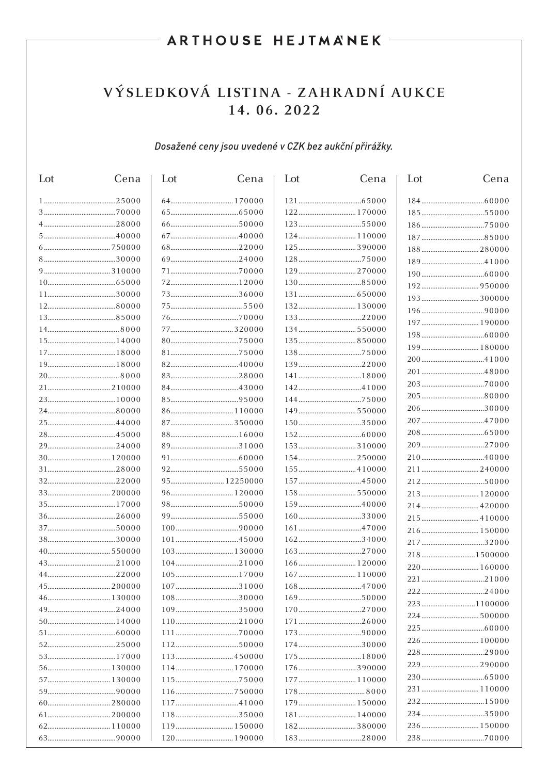## ARTHOUSE HEJTMANEK -

# VÝSLEDKOVÁ LISTINA - ZAHRADNÍ AUKCE 14.06.2022

#### Dosažené ceny jsou uvedené v CZK bez aukční přirážky.

| Lot | Cena | Lot | Cena | Lot | Cena | Lot | Cena |
|-----|------|-----|------|-----|------|-----|------|
|     |      |     |      |     |      |     |      |
|     |      |     |      |     |      |     |      |
|     |      |     |      |     |      |     |      |
|     |      |     |      |     |      |     |      |
|     |      |     |      |     |      |     |      |
|     |      |     |      |     |      |     |      |
|     |      |     |      |     |      |     |      |
|     |      |     |      |     |      |     |      |
|     |      |     |      |     |      |     |      |
|     |      |     |      |     |      |     |      |
|     |      |     |      |     |      |     |      |
|     |      |     |      |     |      |     |      |
|     |      |     |      |     |      |     |      |
|     |      |     |      |     |      |     |      |
|     |      |     |      |     |      |     |      |
|     |      |     |      |     |      |     |      |
|     |      |     |      |     |      |     |      |
|     |      |     |      |     |      |     |      |
|     |      |     |      |     |      |     |      |
|     |      |     |      |     |      |     |      |
|     |      |     |      |     |      |     |      |
|     |      |     |      |     |      |     |      |
|     |      |     |      |     |      |     |      |
|     |      |     |      |     |      |     |      |
|     |      |     |      |     |      |     |      |
|     |      |     |      |     |      |     |      |
|     |      |     |      |     |      |     |      |
|     |      |     |      |     |      |     |      |
|     |      |     |      |     |      |     |      |
|     |      |     |      |     |      |     |      |
|     |      |     |      |     |      |     |      |
|     |      |     |      |     |      |     |      |
|     |      |     |      |     |      |     |      |
|     |      |     |      |     |      |     |      |
|     |      |     |      |     |      |     |      |
|     |      |     |      |     |      |     |      |
|     |      |     |      |     |      |     |      |
|     |      |     |      |     |      |     |      |
|     |      |     |      |     |      |     |      |
|     |      |     |      |     |      |     |      |
|     |      |     |      |     |      |     |      |
|     |      |     |      |     |      |     |      |
|     |      |     |      |     |      |     |      |
|     |      |     |      |     |      |     |      |
|     |      |     |      |     |      |     |      |
|     |      |     |      |     |      |     |      |
|     |      |     |      |     |      |     |      |